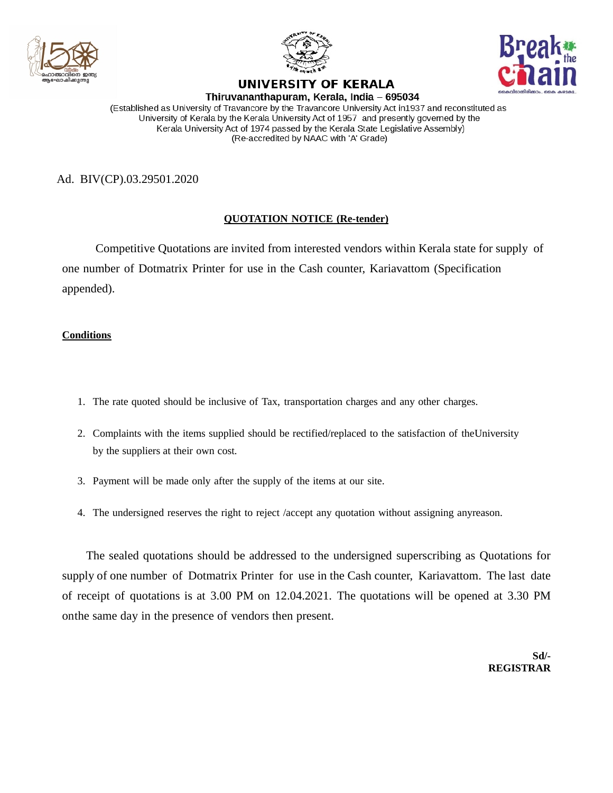





## UNIVERSITY OF KERALA

Thiruvananthapuram, Kerala, India - 695034 (Established as University of Travancore by the Travancore University Act in1937 and reconstituted as University of Kerala by the Kerala University Act of 1957 and presently governed by the Kerala University Act of 1974 passed by the Kerala State Legislative Assembly) (Re-accredited by NAAC with 'A' Grade)

Ad. BIV(CP).03.29501.2020

## **QUOTATION NOTICE (Re-tender)**

Competitive Quotations are invited from interested vendors within Kerala state for supply of one number of Dotmatrix Printer for use in the Cash counter, Kariavattom (Specification appended).

## **Conditions**

- 1. The rate quoted should be inclusive of Tax, transportation charges and any other charges.
- 2. Complaints with the items supplied should be rectified/replaced to the satisfaction of theUniversity by the suppliers at their own cost.
- 3. Payment will be made only after the supply of the items at our site.
- 4. The undersigned reserves the right to reject /accept any quotation without assigning anyreason.

The sealed quotations should be addressed to the undersigned superscribing as Quotations for supply of one number of Dotmatrix Printer for use in the Cash counter, Kariavattom. The last date of receipt of quotations is at 3.00 PM on 12.04.2021. The quotations will be opened at 3.30 PM onthe same day in the presence of vendors then present.

> **Sd/- REGISTRAR**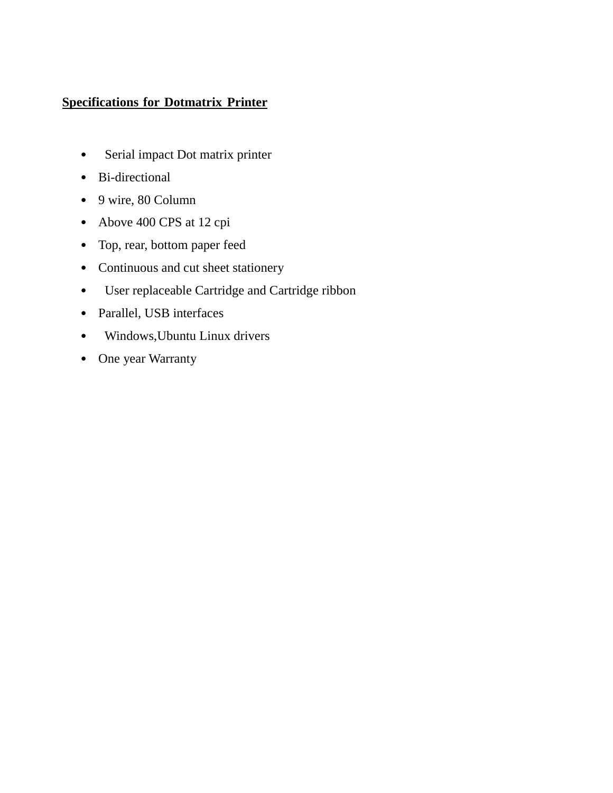## **Specifications for Dotmatrix Printer**

- Serial impact Dot matrix printer
- Bi-directional
- 9 wire, 80 Column
- Above 400 CPS at 12 cpi
- Top, rear, bottom paper feed
- Continuous and cut sheet stationery
- User replaceable Cartridge and Cartridge ribbon
- Parallel, USB interfaces
- Windows,Ubuntu Linux drivers
- One year Warranty